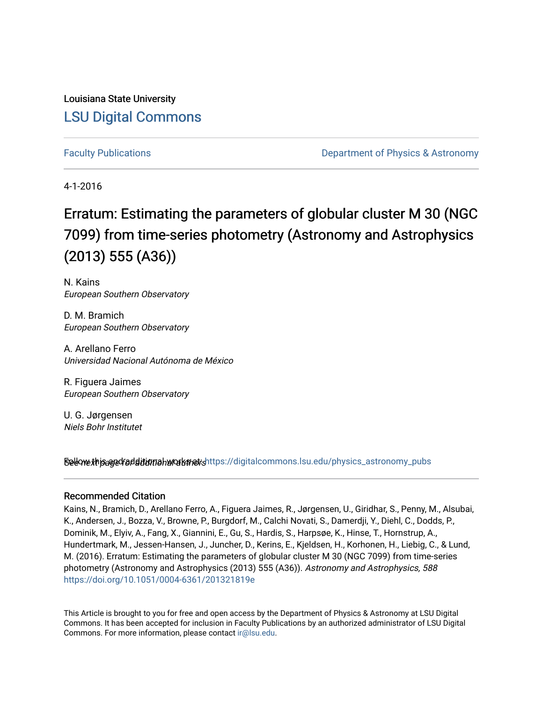Louisiana State University [LSU Digital Commons](https://digitalcommons.lsu.edu/)

[Faculty Publications](https://digitalcommons.lsu.edu/physics_astronomy_pubs) **Example 2** Constant Department of Physics & Astronomy

4-1-2016

# Erratum: Estimating the parameters of globular cluster M 30 (NGC 7099) from time-series photometry (Astronomy and Astrophysics (2013) 555 (A36))

N. Kains European Southern Observatory

D. M. Bramich European Southern Observatory

A. Arellano Ferro Universidad Nacional Autónoma de México

R. Figuera Jaimes European Southern Observatory

U. G. Jørgensen Niels Bohr Institutet

Sellow this age for ditional works and the still digital commons.lsu.edu/physics\_astronomy\_pubs

### Recommended Citation

Kains, N., Bramich, D., Arellano Ferro, A., Figuera Jaimes, R., Jørgensen, U., Giridhar, S., Penny, M., Alsubai, K., Andersen, J., Bozza, V., Browne, P., Burgdorf, M., Calchi Novati, S., Damerdji, Y., Diehl, C., Dodds, P., Dominik, M., Elyiv, A., Fang, X., Giannini, E., Gu, S., Hardis, S., Harpsøe, K., Hinse, T., Hornstrup, A., Hundertmark, M., Jessen-Hansen, J., Juncher, D., Kerins, E., Kjeldsen, H., Korhonen, H., Liebig, C., & Lund, M. (2016). Erratum: Estimating the parameters of globular cluster M 30 (NGC 7099) from time-series photometry (Astronomy and Astrophysics (2013) 555 (A36)). Astronomy and Astrophysics, 588 <https://doi.org/10.1051/0004-6361/201321819e>

This Article is brought to you for free and open access by the Department of Physics & Astronomy at LSU Digital Commons. It has been accepted for inclusion in Faculty Publications by an authorized administrator of LSU Digital Commons. For more information, please contact [ir@lsu.edu](mailto:ir@lsu.edu).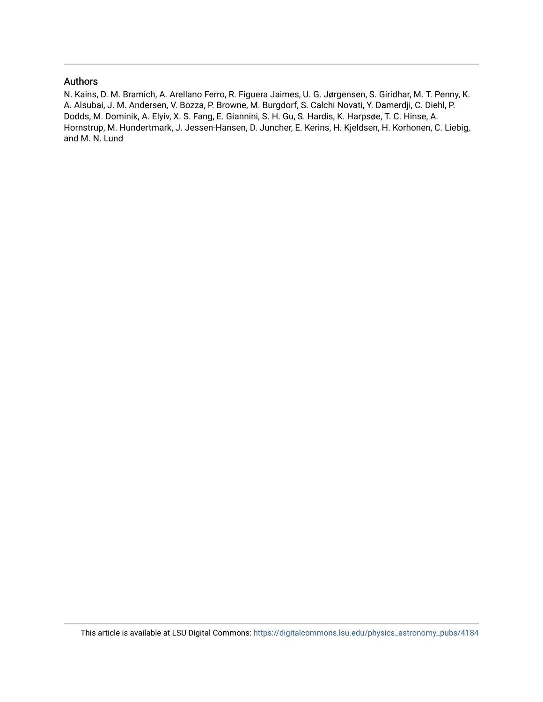#### Authors

N. Kains, D. M. Bramich, A. Arellano Ferro, R. Figuera Jaimes, U. G. Jørgensen, S. Giridhar, M. T. Penny, K. A. Alsubai, J. M. Andersen, V. Bozza, P. Browne, M. Burgdorf, S. Calchi Novati, Y. Damerdji, C. Diehl, P. Dodds, M. Dominik, A. Elyiv, X. S. Fang, E. Giannini, S. H. Gu, S. Hardis, K. Harpsøe, T. C. Hinse, A. Hornstrup, M. Hundertmark, J. Jessen-Hansen, D. Juncher, E. Kerins, H. Kjeldsen, H. Korhonen, C. Liebig, and M. N. Lund